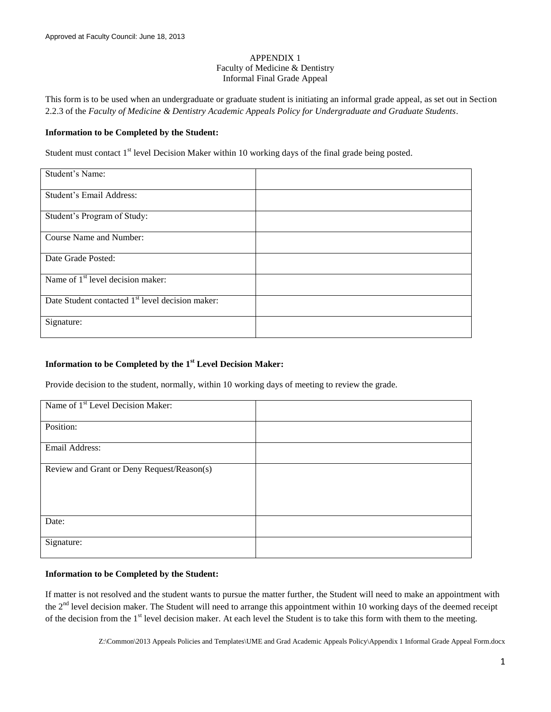#### APPENDIX 1 Faculty of Medicine & Dentistry Informal Final Grade Appeal

This form is to be used when an undergraduate or graduate student is initiating an informal grade appeal, as set out in Section 2.2.3 of the *Faculty of Medicine & Dentistry Academic Appeals Policy for Undergraduate and Graduate Students*.

### **Information to be Completed by the Student:**

Student must contact 1<sup>st</sup> level Decision Maker within 10 working days of the final grade being posted.

| Student's Name:                                              |  |
|--------------------------------------------------------------|--|
| Student's Email Address:                                     |  |
| Student's Program of Study:                                  |  |
| Course Name and Number:                                      |  |
| Date Grade Posted:                                           |  |
| Name of 1 <sup>st</sup> level decision maker:                |  |
| Date Student contacted 1 <sup>st</sup> level decision maker: |  |
| Signature:                                                   |  |

## **Information to be Completed by the 1 st Level Decision Maker:**

Provide decision to the student, normally, within 10 working days of meeting to review the grade.

| Name of 1 <sup>st</sup> Level Decision Maker: |  |
|-----------------------------------------------|--|
| Position:                                     |  |
| Email Address:                                |  |
| Review and Grant or Deny Request/Reason(s)    |  |
| Date:                                         |  |
| Signature:                                    |  |

### **Information to be Completed by the Student:**

If matter is not resolved and the student wants to pursue the matter further, the Student will need to make an appointment with the  $2<sup>nd</sup>$  level decision maker. The Student will need to arrange this appointment within 10 working days of the deemed receipt of the decision from the 1<sup>st</sup> level decision maker. At each level the Student is to take this form with them to the meeting.

Z:\Common\2013 Appeals Policies and Templates\UME and Grad Academic Appeals Policy\Appendix 1 Informal Grade Appeal Form.docx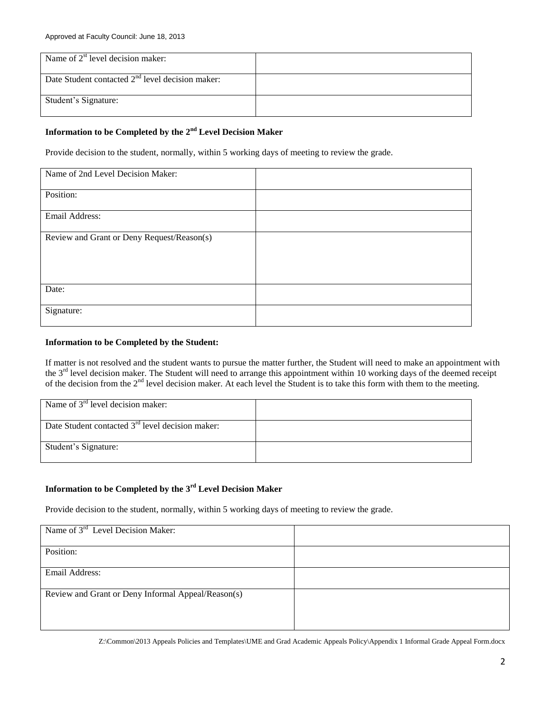| Name of $2st$ level decision maker:                |  |
|----------------------------------------------------|--|
| Date Student contacted $2nd$ level decision maker: |  |
| Student's Signature:                               |  |

# Information to be Completed by the 2<sup>nd</sup> Level Decision Maker

Provide decision to the student, normally, within 5 working days of meeting to review the grade.

| Name of 2nd Level Decision Maker:          |  |
|--------------------------------------------|--|
| Position:                                  |  |
| Email Address:                             |  |
| Review and Grant or Deny Request/Reason(s) |  |
|                                            |  |
|                                            |  |
| Date:                                      |  |
| Signature:                                 |  |

#### **Information to be Completed by the Student:**

If matter is not resolved and the student wants to pursue the matter further, the Student will need to make an appointment with the 3<sup>rd</sup> level decision maker. The Student will need to arrange this appointment within 10 working days of the deemed receipt of the decision from the 2nd level decision maker. At each level the Student is to take this form with them to the meeting.

| Name of $3rd$ level decision maker:                |  |
|----------------------------------------------------|--|
| Date Student contacted $3rd$ level decision maker: |  |
| Student's Signature:                               |  |

## **Information to be Completed by the 3 rd Level Decision Maker**

Provide decision to the student, normally, within 5 working days of meeting to review the grade.

| Name of $3rd$ Level Decision Maker:                |  |
|----------------------------------------------------|--|
|                                                    |  |
| Position:                                          |  |
| Email Address:                                     |  |
| Review and Grant or Deny Informal Appeal/Reason(s) |  |
|                                                    |  |

Z:\Common\2013 Appeals Policies and Templates\UME and Grad Academic Appeals Policy\Appendix 1 Informal Grade Appeal Form.docx